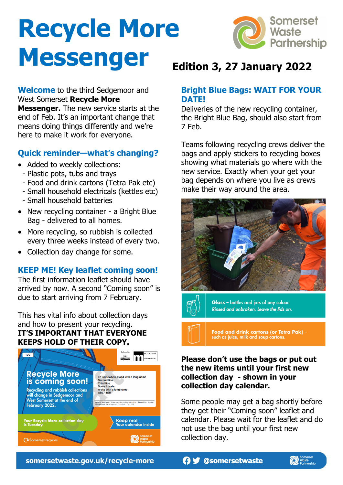# **Recycle More Messenger**



#### **Welcome** to the third Sedgemoor and West Somerset **Recycle More**

**Messenger.** The new service starts at the end of Feb. It's an important change that means doing things differently and we're here to make it work for everyone.

# **Quick reminder—what's changing?**

- Added to weekly collections:
	- Plastic pots, tubs and trays
	- Food and drink cartons (Tetra Pak etc)
	- Small household electricals (kettles etc)
	- Small household batteries
- New recycling container a Bright Blue Bag - delivered to all homes.
- More recycling, so rubbish is collected every three weeks instead of every two.
- Collection day change for some.

# **KEEP ME! Key leaflet coming soon!**

The first information leaflet should have arrived by now. A second "Coming soon" is due to start arriving from 7 February.

This has vital info about collection days and how to present your recycling. **IT'S IMPORTANT THAT EVERYONE KEEPS HOLD OF THEIR COPY.**



# **Edition 3, 27 January 2022**

#### **Bright Blue Bags: WAIT FOR YOUR DATE!**

Deliveries of the new recycling container, the Bright Blue Bag, should also start from 7 Feb.

Teams following recycling crews deliver the bags and apply stickers to recycling boxes showing what materials go where with the new service. Exactly when your get your bag depends on where you live as crews make their way around the area.





Glass - bottles and jars of any colour. Rinsed and unbroken. Leave the lids on.

Food and drink cartons (or Tetra Pak) –<br>such as juice, milk and soup cartons.

#### **Please don't use the bags or put out the new items until your first new collection day - shown in your collection day calendar.**

Some people may get a bag shortly before they get their "Coming soon" leaflet and calendar. Please wait for the leaflet and do not use the bag until your first new collection day.